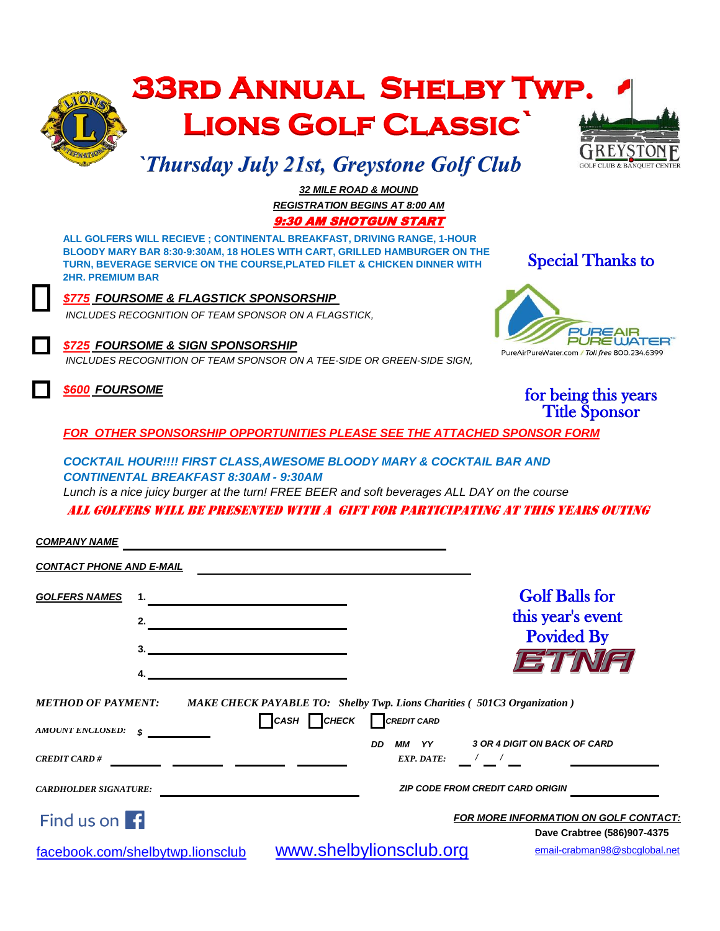|                                                                                                             | <b>33RD ANNUAL SHELBY TWP.</b><br>O/Nc<br><b>LIONS GOLF CLASSIC</b><br>Thursday July 21st, Greystone Golf Club                                                                                                                                                                                                                              |                            |                                                                      |  |  |
|-------------------------------------------------------------------------------------------------------------|---------------------------------------------------------------------------------------------------------------------------------------------------------------------------------------------------------------------------------------------------------------------------------------------------------------------------------------------|----------------------------|----------------------------------------------------------------------|--|--|
|                                                                                                             | <b>32 MILE ROAD &amp; MOUND</b><br><b>REGISTRATION BEGINS AT 8:00 AM</b>                                                                                                                                                                                                                                                                    |                            |                                                                      |  |  |
|                                                                                                             | <b>9:30 AM SHOTGUN START</b><br>ALL GOLFERS WILL RECIEVE ; CONTINENTAL BREAKFAST, DRIVING RANGE, 1-HOUR<br>BLOODY MARY BAR 8:30-9:30AM, 18 HOLES WITH CART, GRILLED HAMBURGER ON THE<br>TURN, BEVERAGE SERVICE ON THE COURSE, PLATED FILET & CHICKEN DINNER WITH<br><b>2HR. PREMIUM BAR</b>                                                 |                            | <b>Special Thanks to</b>                                             |  |  |
|                                                                                                             | <b>\$775 FOURSOME &amp; FLAGSTICK SPONSORSHIP</b><br>INCLUDES RECOGNITION OF TEAM SPONSOR ON A FLAGSTICK.                                                                                                                                                                                                                                   |                            |                                                                      |  |  |
|                                                                                                             | \$725 FOURSOME & SIGN SPONSORSHIP<br>INCLUDES RECOGNITION OF TEAM SPONSOR ON A TEE-SIDE OR GREEN-SIDE SIGN.                                                                                                                                                                                                                                 |                            | PureAirPureWater.com / Toll free 800.234.6399                        |  |  |
|                                                                                                             | <b>\$600 FOURSOME</b>                                                                                                                                                                                                                                                                                                                       |                            | for being this years<br><b>Title Sponsor</b>                         |  |  |
|                                                                                                             | <b>FOR OTHER SPONSORSHIP OPPORTUNITIES PLEASE SEE THE ATTACHED SPONSOR FORM</b>                                                                                                                                                                                                                                                             |                            |                                                                      |  |  |
|                                                                                                             | <b>COCKTAIL HOUR!!!! FIRST CLASS, AWESOME BLOODY MARY &amp; COCKTAIL BAR AND</b><br><b>CONTINENTAL BREAKFAST 8:30AM - 9:30AM</b><br>Lunch is a nice juicy burger at the turn! FREE BEER and soft beverages ALL DAY on the course<br>ALL GOLFERS WILL BE PRESENTED WITH A GIFT FOR PARTICIPATING AT THIS YEARS OUTING<br><b>COMPANY NAME</b> |                            |                                                                      |  |  |
|                                                                                                             | <b>CONTACT PHONE AND E-MAIL</b>                                                                                                                                                                                                                                                                                                             |                            |                                                                      |  |  |
|                                                                                                             | <b>GOLFERS NAMES</b><br><u> 1980 - Johann Barbara, martin a</u><br>2.<br><u> 1980 - Johann Barbara, martxa a</u>                                                                                                                                                                                                                            |                            | <b>Golf Balls for</b><br>this year's event<br><b>Povided By</b>      |  |  |
| <b>METHOD OF PAYMENT:</b><br><b>MAKE CHECK PAYABLE TO: Shelby Twp. Lions Charities (501C3 Organization)</b> |                                                                                                                                                                                                                                                                                                                                             |                            |                                                                      |  |  |
|                                                                                                             | $\Box$ CASH $\Box$ CHECK<br>AMOUNT ENCLOSED:<br>\$                                                                                                                                                                                                                                                                                          | <b>CREDIT CARD</b>         |                                                                      |  |  |
|                                                                                                             | DD<br><b>CREDIT CARD#</b>                                                                                                                                                                                                                                                                                                                   | MM YY<br><b>EXP. DATE:</b> | 3 OR 4 DIGIT ON BACK OF CARD<br>$\sqrt{2}$                           |  |  |
|                                                                                                             | <b>CARDHOLDER SIGNATURE:</b>                                                                                                                                                                                                                                                                                                                |                            | <b>ZIP CODE FROM CREDIT CARD ORIGIN</b>                              |  |  |
|                                                                                                             | Find us on $\uparrow$                                                                                                                                                                                                                                                                                                                       |                            | FOR MORE INFORMATION ON GOLF CONTACT:<br>Dave Crabtree (586)907-4375 |  |  |

[facebook.com/shelbytwp.lionsclub](../2017 Golf outing/2016 doco/facebook.com/shelbytwplionsclub) [www.shelbylionsclub.org](http://www.shelbylionsclub.org/) [email-crabman98@sbcglobal.net](mailto:email-crabman98@sbcglobal.net)